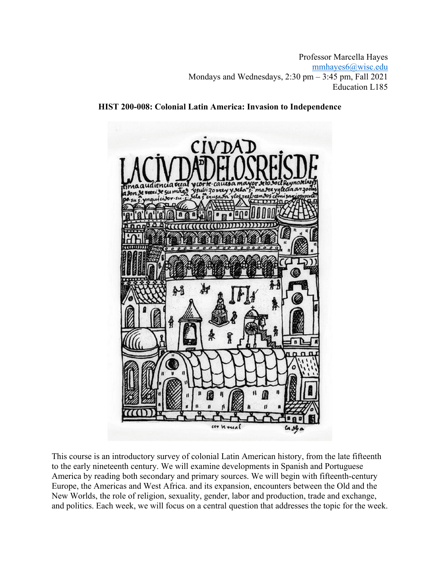Professor Marcella Hayes mmhayes6@wisc.edu Mondays and Wednesdays, 2:30 pm – 3:45 pm, Fall 2021 Education L185



**HIST 200-008: Colonial Latin America: Invasion to Independence** 

This course is an introductory survey of colonial Latin American history, from the late fifteenth to the early nineteenth century. We will examine developments in Spanish and Portuguese America by reading both secondary and primary sources. We will begin with fifteenth-century Europe, the Americas and West Africa. and its expansion, encounters between the Old and the New Worlds, the role of religion, sexuality, gender, labor and production, trade and exchange, and politics. Each week, we will focus on a central question that addresses the topic for the week.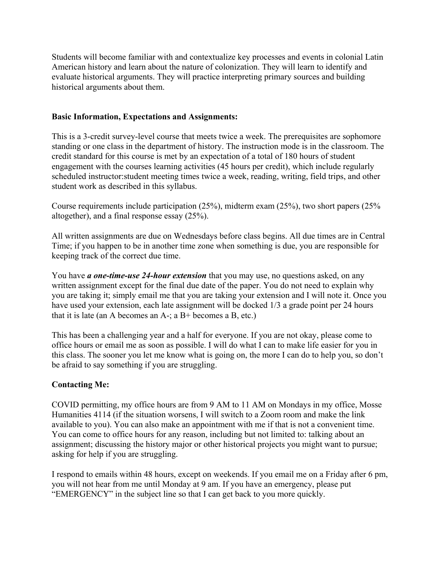Students will become familiar with and contextualize key processes and events in colonial Latin American history and learn about the nature of colonization. They will learn to identify and evaluate historical arguments. They will practice interpreting primary sources and building historical arguments about them.

### **Basic Information, Expectations and Assignments:**

This is a 3-credit survey-level course that meets twice a week. The prerequisites are sophomore standing or one class in the department of history. The instruction mode is in the classroom. The credit standard for this course is met by an expectation of a total of 180 hours of student engagement with the courses learning activities (45 hours per credit), which include regularly scheduled instructor:student meeting times twice a week, reading, writing, field trips, and other student work as described in this syllabus.

Course requirements include participation (25%), midterm exam (25%), two short papers (25% altogether), and a final response essay (25%).

All written assignments are due on Wednesdays before class begins. All due times are in Central Time; if you happen to be in another time zone when something is due, you are responsible for keeping track of the correct due time.

You have *a one-time-use 24-hour extension* that you may use, no questions asked, on any written assignment except for the final due date of the paper. You do not need to explain why you are taking it; simply email me that you are taking your extension and I will note it. Once you have used your extension, each late assignment will be docked 1/3 a grade point per 24 hours that it is late (an A becomes an  $A$ -; a  $B$ + becomes a  $B$ , etc.)

This has been a challenging year and a half for everyone. If you are not okay, please come to office hours or email me as soon as possible. I will do what I can to make life easier for you in this class. The sooner you let me know what is going on, the more I can do to help you, so don't be afraid to say something if you are struggling.

# **Contacting Me:**

COVID permitting, my office hours are from 9 AM to 11 AM on Mondays in my office, Mosse Humanities 4114 (if the situation worsens, I will switch to a Zoom room and make the link available to you). You can also make an appointment with me if that is not a convenient time. You can come to office hours for any reason, including but not limited to: talking about an assignment; discussing the history major or other historical projects you might want to pursue; asking for help if you are struggling.

I respond to emails within 48 hours, except on weekends. If you email me on a Friday after 6 pm, you will not hear from me until Monday at 9 am. If you have an emergency, please put "EMERGENCY" in the subject line so that I can get back to you more quickly.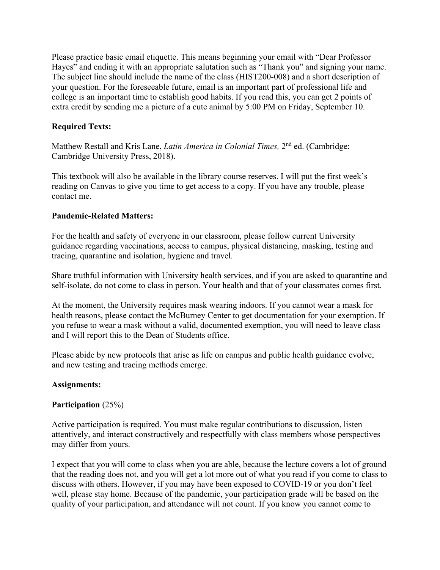Please practice basic email etiquette. This means beginning your email with "Dear Professor Hayes" and ending it with an appropriate salutation such as "Thank you" and signing your name. The subject line should include the name of the class (HIST200-008) and a short description of your question. For the foreseeable future, email is an important part of professional life and college is an important time to establish good habits. If you read this, you can get 2 points of extra credit by sending me a picture of a cute animal by 5:00 PM on Friday, September 10.

# **Required Texts:**

Matthew Restall and Kris Lane, *Latin America in Colonial Times,* 2nd ed. (Cambridge: Cambridge University Press, 2018).

This textbook will also be available in the library course reserves. I will put the first week's reading on Canvas to give you time to get access to a copy. If you have any trouble, please contact me.

### **Pandemic-Related Matters:**

For the health and safety of everyone in our classroom, please follow current University guidance regarding vaccinations, access to campus, physical distancing, masking, testing and tracing, quarantine and isolation, hygiene and travel.

Share truthful information with University health services, and if you are asked to quarantine and self-isolate, do not come to class in person. Your health and that of your classmates comes first.

At the moment, the University requires mask wearing indoors. If you cannot wear a mask for health reasons, please contact the McBurney Center to get documentation for your exemption. If you refuse to wear a mask without a valid, documented exemption, you will need to leave class and I will report this to the Dean of Students office.

Please abide by new protocols that arise as life on campus and public health guidance evolve, and new testing and tracing methods emerge.

### **Assignments:**

### **Participation** (25%)

Active participation is required. You must make regular contributions to discussion, listen attentively, and interact constructively and respectfully with class members whose perspectives may differ from yours.

I expect that you will come to class when you are able, because the lecture covers a lot of ground that the reading does not, and you will get a lot more out of what you read if you come to class to discuss with others. However, if you may have been exposed to COVID-19 or you don't feel well, please stay home. Because of the pandemic, your participation grade will be based on the quality of your participation, and attendance will not count. If you know you cannot come to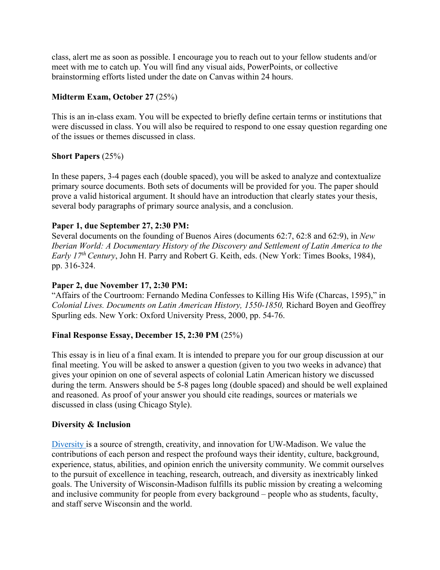class, alert me as soon as possible. I encourage you to reach out to your fellow students and/or meet with me to catch up. You will find any visual aids, PowerPoints, or collective brainstorming efforts listed under the date on Canvas within 24 hours.

# **Midterm Exam, October 27** (25%)

This is an in-class exam. You will be expected to briefly define certain terms or institutions that were discussed in class. You will also be required to respond to one essay question regarding one of the issues or themes discussed in class.

# **Short Papers** (25%)

In these papers, 3-4 pages each (double spaced), you will be asked to analyze and contextualize primary source documents. Both sets of documents will be provided for you. The paper should prove a valid historical argument. It should have an introduction that clearly states your thesis, several body paragraphs of primary source analysis, and a conclusion.

# **Paper 1, due September 27, 2:30 PM:**

Several documents on the founding of Buenos Aires (documents 62:7, 62:8 and 62:9), in *New Iberian World: A Documentary History of the Discovery and Settlement of Latin America to the Early 17th Century*, John H. Parry and Robert G. Keith, eds. (New York: Times Books, 1984), pp. 316-324.

# **Paper 2, due November 17, 2:30 PM:**

"Affairs of the Courtroom: Fernando Medina Confesses to Killing His Wife (Charcas, 1595)," in *Colonial Lives. Documents on Latin American History, 1550-1850,* Richard Boyen and Geoffrey Spurling eds. New York: Oxford University Press, 2000, pp. 54-76.

# **Final Response Essay, December 15, 2:30 PM** (25%)

This essay is in lieu of a final exam. It is intended to prepare you for our group discussion at our final meeting. You will be asked to answer a question (given to you two weeks in advance) that gives your opinion on one of several aspects of colonial Latin American history we discussed during the term. Answers should be 5-8 pages long (double spaced) and should be well explained and reasoned. As proof of your answer you should cite readings, sources or materials we discussed in class (using Chicago Style).

# **Diversity & Inclusion**

Diversity is a source of strength, creativity, and innovation for UW-Madison. We value the contributions of each person and respect the profound ways their identity, culture, background, experience, status, abilities, and opinion enrich the university community. We commit ourselves to the pursuit of excellence in teaching, research, outreach, and diversity as inextricably linked goals. The University of Wisconsin-Madison fulfills its public mission by creating a welcoming and inclusive community for people from every background – people who as students, faculty, and staff serve Wisconsin and the world.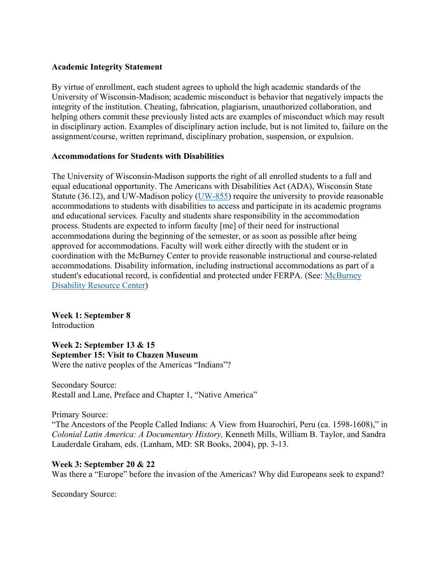### **Academic Integrity Statement**

By virtue of enrollment, each student agrees to uphold the high academic standards of the University of Wisconsin-Madison; academic misconduct is behavior that negatively impacts the integrity of the institution. Cheating, fabrication, plagiarism, unauthorized collaboration, and helping others commit these previously listed acts are examples of misconduct which may result in disciplinary action. Examples of disciplinary action include, but is not limited to, failure on the assignment/course, written reprimand, disciplinary probation, suspension, or expulsion.

### **Accommodations for Students with Disabilities**

The University of Wisconsin-Madison supports the right of all enrolled students to a full and equal educational opportunity. The Americans with Disabilities Act (ADA), Wisconsin State Statute (36.12), and UW-Madison policy ( $UW-855$ ) require the university to provide reasonable accommodations to students with disabilities to access and participate in its academic programs and educational services. Faculty and students share responsibility in the accommodation process. Students are expected to inform faculty [me] of their need for instructional accommodations during the beginning of the semester, or as soon as possible after being approved for accommodations. Faculty will work either directly with the student or in coordination with the McBurney Center to provide reasonable instructional and course-related accommodations. Disability information, including instructional accommodations as part of a student's educational record, is confidential and protected under FERPA. (See: McBurney Disability Resource Center)

**Week 1: September 8**  Introduction

**Week 2: September 13 & 15 September 15: Visit to Chazen Museum**  Were the native peoples of the Americas "Indians"?

Secondary Source: Restall and Lane, Preface and Chapter 1, "Native America"

Primary Source:

"The Ancestors of the People Called Indians: A View from Huarochirí, Peru (ca. 1598-1608)," in *Colonial Latin America: A Documentary History,* Kenneth Mills, William B. Taylor, and Sandra Lauderdale Graham, eds. (Lanham, MD: SR Books, 2004), pp. 3-13.

### **Week 3: September 20 & 22**

Was there a "Europe" before the invasion of the Americas? Why did Europeans seek to expand?

Secondary Source: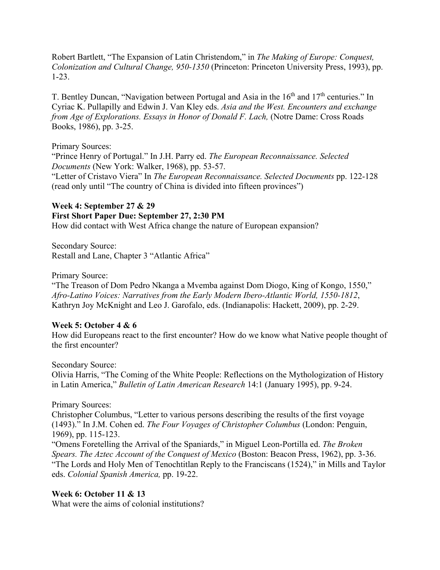Robert Bartlett, "The Expansion of Latin Christendom," in *The Making of Europe: Conquest, Colonization and Cultural Change, 950-1350* (Princeton: Princeton University Press, 1993), pp. 1-23.

T. Bentley Duncan, "Navigation between Portugal and Asia in the  $16<sup>th</sup>$  and  $17<sup>th</sup>$  centuries." In Cyriac K. Pullapilly and Edwin J. Van Kley eds. *Asia and the West. Encounters and exchange from Age of Explorations. Essays in Honor of Donald F. Lach, (Notre Dame: Cross Roads* Books, 1986), pp. 3-25.

Primary Sources:

"Prince Henry of Portugal." In J.H. Parry ed. *The European Reconnaissance. Selected Documents* (New York: Walker, 1968), pp. 53-57.

"Letter of Cristavo Viera" In *The European Reconnaissance. Selected Documents* pp. 122-128 (read only until "The country of China is divided into fifteen provinces")

# **Week 4: September 27 & 29 First Short Paper Due: September 27, 2:30 PM**

How did contact with West Africa change the nature of European expansion?

Secondary Source: Restall and Lane, Chapter 3 "Atlantic Africa"

Primary Source:

"The Treason of Dom Pedro Nkanga a Mvemba against Dom Diogo, King of Kongo, 1550," *Afro-Latino Voices: Narratives from the Early Modern Ibero-Atlantic World, 1550-1812*, Kathryn Joy McKnight and Leo J. Garofalo, eds. (Indianapolis: Hackett, 2009), pp. 2-29.

### **Week 5: October 4 & 6**

How did Europeans react to the first encounter? How do we know what Native people thought of the first encounter?

Secondary Source:

Olivia Harris, "The Coming of the White People: Reflections on the Mythologization of History in Latin America," *Bulletin of Latin American Research* 14:1 (January 1995), pp. 9-24.

Primary Sources:

Christopher Columbus, "Letter to various persons describing the results of the first voyage (1493)." In J.M. Cohen ed. *The Four Voyages of Christopher Columbus* (London: Penguin, 1969), pp. 115-123.

"Omens Foretelling the Arrival of the Spaniards," in Miguel Leon-Portilla ed. *The Broken Spears. The Aztec Account of the Conquest of Mexico* (Boston: Beacon Press, 1962), pp. 3-36. "The Lords and Holy Men of Tenochtitlan Reply to the Franciscans (1524)," in Mills and Taylor eds. *Colonial Spanish America,* pp. 19-22.

# **Week 6: October 11 & 13**

What were the aims of colonial institutions?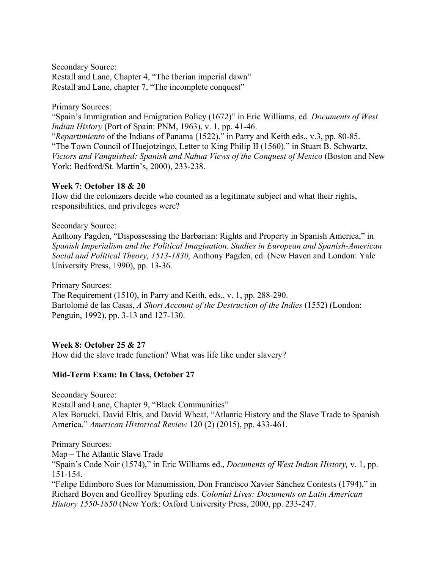Secondary Source: Restall and Lane, Chapter 4, "The Iberian imperial dawn" Restall and Lane, chapter 7, "The incomplete conquest"

Primary Sources:

"Spain's Immigration and Emigration Policy (1672)" in Eric Williams, ed. *Documents of West Indian History* (Port of Spain: PNM, 1963), v. 1, pp. 41-46. "*Repartimiento* of the Indians of Panama (1522)," in Parry and Keith eds., v.3, pp. 80-85. "The Town Council of Huejotzingo, Letter to King Philip II (1560)." in Stuart B. Schwartz, *Victors and Vanquished: Spanish and Nahua Views of the Conquest of Mexico* (Boston and New York: Bedford/St. Martin's, 2000), 233-238.

### **Week 7: October 18 & 20**

How did the colonizers decide who counted as a legitimate subject and what their rights, responsibilities, and privileges were?

### Secondary Source:

Anthony Pagden, "Dispossessing the Barbarian: Rights and Property in Spanish America," in *Spanish Imperialism and the Political Imagination. Studies in European and Spanish-American Social and Political Theory, 1513-1830,* Anthony Pagden, ed. (New Haven and London: Yale University Press, 1990), pp. 13-36.

Primary Sources:

The Requirement (1510), in Parry and Keith, eds., v. 1, pp. 288-290. Bartolomé de las Casas, *A Short Account of the Destruction of the Indies* (1552) (London: Penguin, 1992), pp. 3-13 and 127-130.

### **Week 8: October 25 & 27**

How did the slave trade function? What was life like under slavery?

### **Mid-Term Exam: In Class, October 27**

Secondary Source: Restall and Lane, Chapter 9, "Black Communities" Alex Borucki, David Eltis, and David Wheat, "Atlantic History and the Slave Trade to Spanish America," *American Historical Review* 120 (2) (2015), pp. 433-461.

Primary Sources: Map – The Atlantic Slave Trade "Spain's Code Noir (1574)," in Eric Williams ed., *Documents of West Indian History,* v. 1, pp. 151-154. "Felipe Edimboro Sues for Manumission, Don Francisco Xavier Sánchez Contests (1794)," in Richard Boyen and Geoffrey Spurling eds. *Colonial Lives: Documents on Latin American* 

*History 1550-1850* (New York: Oxford University Press, 2000, pp. 233-247.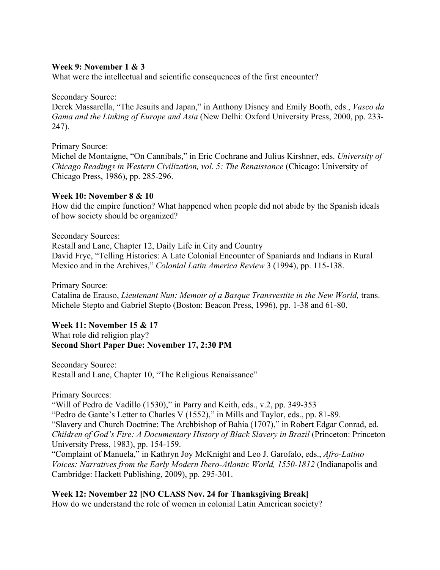### **Week 9: November 1 & 3**

What were the intellectual and scientific consequences of the first encounter?

#### Secondary Source:

Derek Massarella, "The Jesuits and Japan," in Anthony Disney and Emily Booth, eds., *Vasco da Gama and the Linking of Europe and Asia* (New Delhi: Oxford University Press, 2000, pp. 233- 247).

#### Primary Source:

Michel de Montaigne, "On Cannibals," in Eric Cochrane and Julius Kirshner, eds. *University of Chicago Readings in Western Civilization, vol. 5: The Renaissance* (Chicago: University of Chicago Press, 1986), pp. 285-296.

### **Week 10: November 8 & 10**

How did the empire function? What happened when people did not abide by the Spanish ideals of how society should be organized?

Secondary Sources: Restall and Lane, Chapter 12, Daily Life in City and Country David Frye, "Telling Histories: A Late Colonial Encounter of Spaniards and Indians in Rural Mexico and in the Archives," *Colonial Latin America Review* 3 (1994), pp. 115-138.

Primary Source:

Catalina de Erauso, *Lieutenant Nun: Memoir of a Basque Transvestite in the New World*, trans. Michele Stepto and Gabriel Stepto (Boston: Beacon Press, 1996), pp. 1-38 and 61-80.

### **Week 11: November 15 & 17**

What role did religion play? **Second Short Paper Due: November 17, 2:30 PM** 

Secondary Source: Restall and Lane, Chapter 10, "The Religious Renaissance"

Primary Sources:

"Will of Pedro de Vadillo (1530)," in Parry and Keith, eds., v.2, pp. 349-353

"Pedro de Gante's Letter to Charles V (1552)," in Mills and Taylor, eds., pp. 81-89.

"Slavery and Church Doctrine: The Archbishop of Bahia (1707)," in Robert Edgar Conrad, ed. *Children of God's Fire: A Documentary History of Black Slavery in Brazil (Princeton: Princeton* University Press, 1983), pp. 154-159.

"Complaint of Manuela," in Kathryn Joy McKnight and Leo J. Garofalo, eds., *Afro-Latino Voices: Narratives from the Early Modern Ibero-Atlantic World, 1550-1812* (Indianapolis and Cambridge: Hackett Publishing, 2009), pp. 295-301.

# **Week 12: November 22 [NO CLASS Nov. 24 for Thanksgiving Break]**

How do we understand the role of women in colonial Latin American society?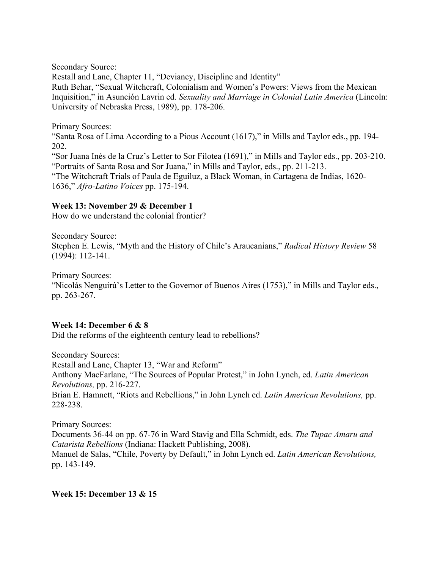Secondary Source:

Restall and Lane, Chapter 11, "Deviancy, Discipline and Identity" Ruth Behar, "Sexual Witchcraft, Colonialism and Women's Powers: Views from the Mexican Inquisition," in Asunción Lavrin ed. *Sexuality and Marriage in Colonial Latin America* (Lincoln: University of Nebraska Press, 1989), pp. 178-206.

Primary Sources:

"Santa Rosa of Lima According to a Pious Account (1617)," in Mills and Taylor eds., pp. 194- 202.

"Sor Juana Inés de la Cruz's Letter to Sor Filotea (1691)," in Mills and Taylor eds., pp. 203-210. "Portraits of Santa Rosa and Sor Juana," in Mills and Taylor, eds., pp. 211-213. "The Witchcraft Trials of Paula de Eguiluz, a Black Woman, in Cartagena de Indias, 1620- 1636," *Afro-Latino Voices* pp. 175-194.

### **Week 13: November 29 & December 1**

How do we understand the colonial frontier?

Secondary Source: Stephen E. Lewis, "Myth and the History of Chile's Araucanians," *Radical History Review* 58 (1994): 112-141.

Primary Sources: "Nicolás Nenguirú's Letter to the Governor of Buenos Aires (1753)," in Mills and Taylor eds., pp. 263-267.

# **Week 14: December 6 & 8**

Did the reforms of the eighteenth century lead to rebellions?

Secondary Sources: Restall and Lane, Chapter 13, "War and Reform" Anthony MacFarlane, "The Sources of Popular Protest," in John Lynch, ed. *Latin American Revolutions,* pp. 216-227. Brian E. Hamnett, "Riots and Rebellions," in John Lynch ed. *Latin American Revolutions,* pp. 228-238.

Primary Sources: Documents 36-44 on pp. 67-76 in Ward Stavig and Ella Schmidt, eds. *The Tupac Amaru and Catarista Rebellions* (Indiana: Hackett Publishing, 2008).

Manuel de Salas, "Chile, Poverty by Default," in John Lynch ed. *Latin American Revolutions,*  pp. 143-149.

# **Week 15: December 13 & 15**